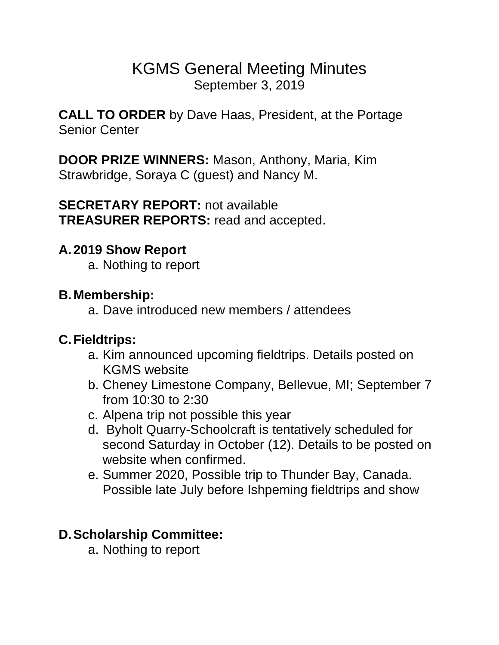# KGMS General Meeting Minutes September 3, 2019

**CALL TO ORDER** by Dave Haas, President, at the Portage Senior Center

**DOOR PRIZE WINNERS:** Mason, Anthony, Maria, Kim Strawbridge, Soraya C (guest) and Nancy M.

**SECRETARY REPORT:** not available **TREASURER REPORTS:** read and accepted.

#### **A.2019 Show Report**

a. Nothing to report

#### **B.Membership:**

a. Dave introduced new members / attendees

## **C.Fieldtrips:**

- a. Kim announced upcoming fieldtrips. Details posted on KGMS website
- b. Cheney Limestone Company, Bellevue, MI; September 7 from 10:30 to 2:30
- c. Alpena trip not possible this year
- d. Byholt Quarry-Schoolcraft is tentatively scheduled for second Saturday in October (12). Details to be posted on website when confirmed.
- e. Summer 2020, Possible trip to Thunder Bay, Canada. Possible late July before Ishpeming fieldtrips and show

## **D.Scholarship Committee:**

a. Nothing to report